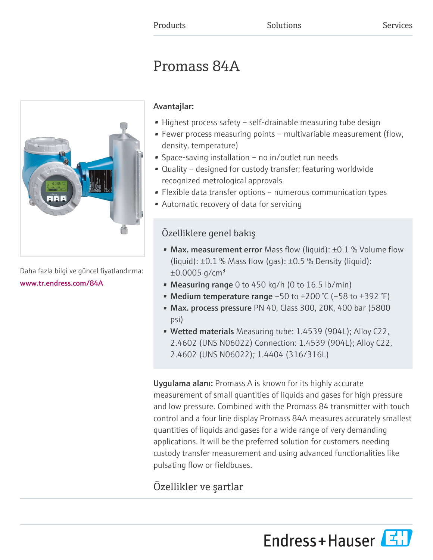# Promass 84A



Daha fazla bilgi ve güncel fiyatlandırma: [www.tr.endress.com/84A](https://www.tr.endress.com/84A)

# Avantajlar:

- Highest process safety self-drainable measuring tube design
- Fewer process measuring points multivariable measurement (flow, density, temperature)
- Space-saving installation no in/outlet run needs
- Quality designed for custody transfer; featuring worldwide recognized metrological approvals
- Flexible data transfer options numerous communication types
- Automatic recovery of data for servicing

# Özelliklere genel bakış

- Max. measurement error Mass flow (liquid):  $\pm 0.1$  % Volume flow (liquid):  $\pm 0.1$  % Mass flow (gas):  $\pm 0.5$  % Density (liquid):  $\pm 0.0005$  g/cm<sup>3</sup>
- Measuring range 0 to 450 kg/h (0 to 16.5 lb/min)
- Medium temperature range  $-50$  to  $+200$  °C ( $-58$  to  $+392$  °F)
- Max. process pressure PN 40, Class 300, 20K, 400 bar (5800 psi)
- Wetted materials Measuring tube: 1.4539 (904L); Alloy C22, 2.4602 (UNS N06022) Connection: 1.4539 (904L); Alloy C22, 2.4602 (UNS N06022); 1.4404 (316/316L)

Uygulama alanı: Promass A is known for its highly accurate measurement of small quantities of liquids and gases for high pressure and low pressure. Combined with the Promass 84 transmitter with touch control and a four line display Promass 84A measures accurately smallest quantities of liquids and gases for a wide range of very demanding applications. It will be the preferred solution for customers needing custody transfer measurement and using advanced functionalities like pulsating flow or fieldbuses.

# Özellikler ve şartlar

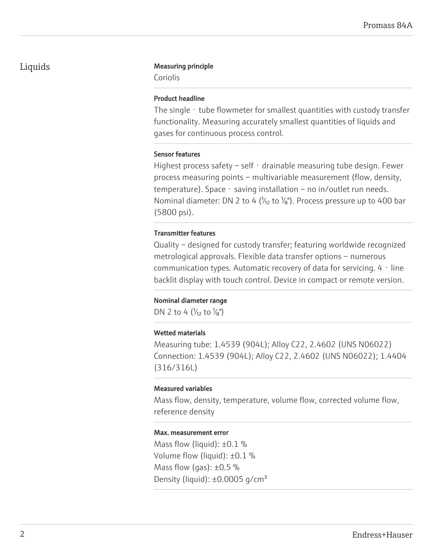## Liquids Measuring principle

Coriolis

#### Product headline

The single - tube flowmeter for smallest quantities with custody transfer functionality. Measuring accurately smallest quantities of liquids and gases for continuous process control.

#### Sensor features

Highest process safety – self - drainable measuring tube design. Fewer process measuring points – multivariable measurement (flow, density, temperature). Space - saving installation – no in/outlet run needs. Nominal diameter: DN 2 to 4 ( $\frac{1}{2}$  to  $\frac{1}{8}$ ). Process pressure up to 400 bar (5800 psi).

### Transmitter features

Quality – designed for custody transfer; featuring worldwide recognized metrological approvals. Flexible data transfer options – numerous communication types. Automatic recovery of data for servicing. 4 - line backlit display with touch control. Device in compact or remote version.

#### Nominal diameter range

DN 2 to 4 ( $\frac{1}{2}$  to  $\frac{1}{8}$ ")

#### Wetted materials

Measuring tube: 1.4539 (904L); Alloy C22, 2.4602 (UNS N06022) Connection: 1.4539 (904L); Alloy C22, 2.4602 (UNS N06022); 1.4404 (316/316L)

#### Measured variables

Mass flow, density, temperature, volume flow, corrected volume flow, reference density

#### Max. measurement error

Mass flow (liquid):  $\pm 0.1$  % Volume flow (liquid): ±0.1 % Mass flow (gas):  $\pm 0.5$  % Density (liquid):  $\pm 0.0005$  g/cm<sup>3</sup>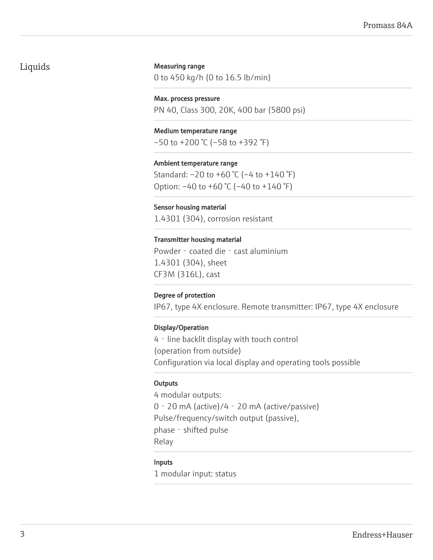# Liquids

#### Measuring range

0 to 450 kg/h (0 to 16.5 lb/min)

Max. process pressure PN 40, Class 300, 20K, 400 bar (5800 psi)

Medium temperature range  $-50$  to  $+200$  °C ( $-58$  to  $+392$  °F)

Ambient temperature range Standard: –20 to +60 °C (–4 to +140 °F) Option: –40 to +60 °C (–40 to +140 °F)

Sensor housing material 1.4301 (304), corrosion resistant

Transmitter housing material Powder - coated die - cast aluminium 1.4301 (304), sheet CF3M (316L), cast

#### Degree of protection

IP67, type 4X enclosure. Remote transmitter: IP67, type 4X enclosure

#### Display/Operation

4 - line backlit display with touch control (operation from outside) Configuration via local display and operating tools possible

#### **Outputs**

4 modular outputs: 0‐20 mA (active)/4‐20 mA (active/passive) Pulse/frequency/switch output (passive), phase - shifted pulse Relay

#### Inputs

1 modular input: status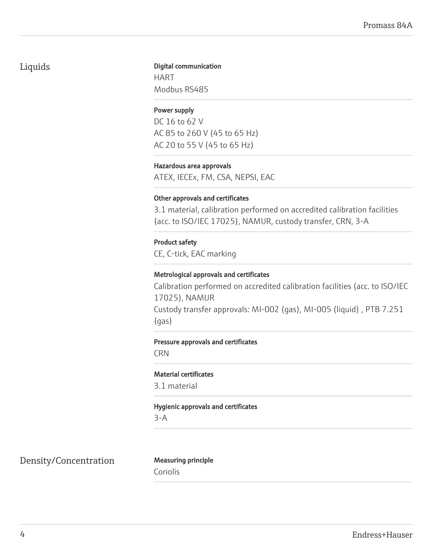# Liquids

# Digital communication

HART Modbus RS485

### Power supply

DC 16 to 62 V AC 85 to 260 V (45 to 65 Hz) AC 20 to 55 V (45 to 65 Hz)

#### Hazardous area approvals

ATEX, IECEx, FM, CSA, NEPSI, EAC

#### Other approvals and certificates

3.1 material, calibration performed on accredited calibration facilities (acc. to ISO/IEC 17025), NAMUR, custody transfer, CRN, 3-A

### Product safety

CE, C-tick, EAC marking

#### Metrological approvals and certificates

Calibration performed on accredited calibration facilities (acc. to ISO/IEC 17025), NAMUR Custody transfer approvals: MI-002 (gas), MI-005 (liquid) , PTB 7.251 (gas)

#### Pressure approvals and certificates

CRN

#### Material certificates

3.1 material

Hygienic approvals and certificates

3-A

Density/Concentration Measuring principle

Coriolis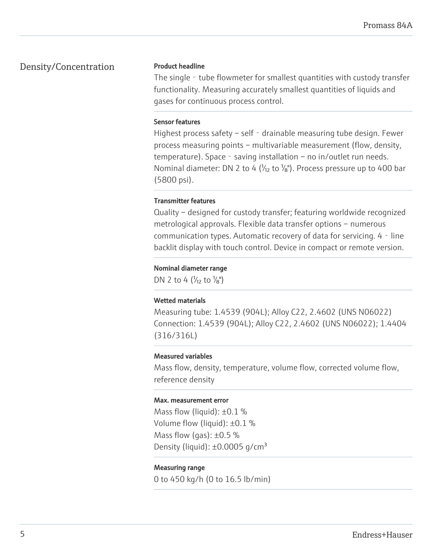# Density/Concentration

#### Product headline

The single - tube flowmeter for smallest quantities with custody transfer functionality. Measuring accurately smallest quantities of liquids and gases for continuous process control.

#### Sensor features

Highest process safety – self - drainable measuring tube design. Fewer process measuring points – multivariable measurement (flow, density, temperature). Space - saving installation – no in/outlet run needs. Nominal diameter: DN 2 to 4 ( $\frac{1}{2}$  to  $\frac{1}{8}$ ). Process pressure up to 400 bar (5800 psi).

#### Transmitter features

Quality – designed for custody transfer; featuring worldwide recognized metrological approvals. Flexible data transfer options – numerous communication types. Automatic recovery of data for servicing. 4 - line backlit display with touch control. Device in compact or remote version.

#### Nominal diameter range

DN 2 to 4  $\left(\frac{1}{12} \text{ to } \frac{1}{8}\right)$ 

#### Wetted materials

Measuring tube: 1.4539 (904L); Alloy C22, 2.4602 (UNS N06022) Connection: 1.4539 (904L); Alloy C22, 2.4602 (UNS N06022); 1.4404 (316/316L)

#### Measured variables

Mass flow, density, temperature, volume flow, corrected volume flow, reference density

#### Max. measurement error

Mass flow (liquid):  $\pm 0.1$  % Volume flow (liquid): ±0.1 % Mass flow (gas):  $\pm 0.5$  % Density (liquid):  $\pm 0.0005$  g/cm<sup>3</sup>

#### Measuring range

0 to 450 kg/h (0 to 16.5 lb/min)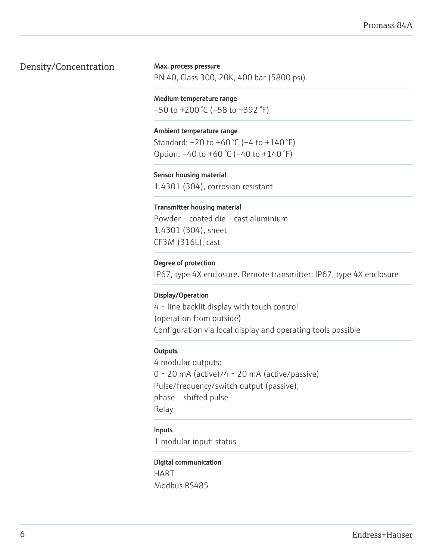# Density/Concentration

#### Max. process pressure

PN 40, Class 300, 20K, 400 bar (5800 psi)

### Medium temperature range

 $-50$  to  $+200$  °C ( $-58$  to  $+392$  °F)

#### Ambient temperature range

Standard: –20 to +60 °C (–4 to +140 °F) Option:  $-40$  to  $+60$  °C ( $-40$  to  $+140$  °F)

### Sensor housing material

1.4301 (304), corrosion resistant

#### Transmitter housing material

Powder - coated die - cast aluminium 1.4301 (304), sheet CF3M (316L), cast

#### Degree of protection

IP67, type 4X enclosure. Remote transmitter: IP67, type 4X enclosure

#### Display/Operation

4 - line backlit display with touch control (operation from outside) Configuration via local display and operating tools possible

#### **Outputs**

4 modular outputs: 0‐20 mA (active)/4‐20 mA (active/passive) Pulse/frequency/switch output (passive), phase - shifted pulse Relay

#### Inputs

1 modular input: status

#### Digital communication

HART Modbus RS485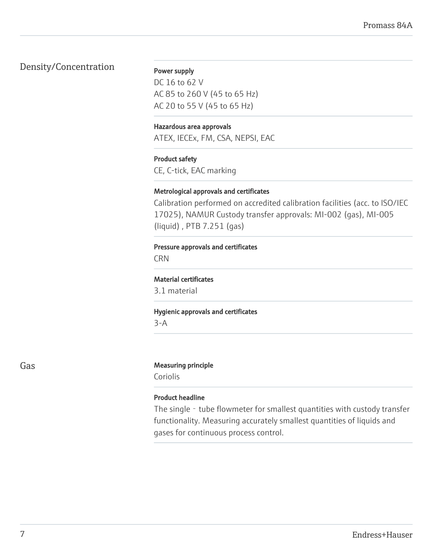# Density/Concentration

#### Power supply

DC 16 to 62 V AC 85 to 260 V (45 to 65 Hz) AC 20 to 55 V (45 to 65 Hz)

#### Hazardous area approvals

ATEX, IECEx, FM, CSA, NEPSI, EAC

#### Product safety

CE, C-tick, EAC marking

#### Metrological approvals and certificates

Calibration performed on accredited calibration facilities (acc. to ISO/IEC 17025), NAMUR Custody transfer approvals: MI-002 (gas), MI-005 (liquid) , PTB 7.251 (gas)

#### Pressure approvals and certificates

CRN

#### Material certificates

3.1 material

# Hygienic approvals and certificates

3-A

#### Gas **Gas** Measuring principle

Coriolis

#### Product headline

The single - tube flowmeter for smallest quantities with custody transfer functionality. Measuring accurately smallest quantities of liquids and gases for continuous process control.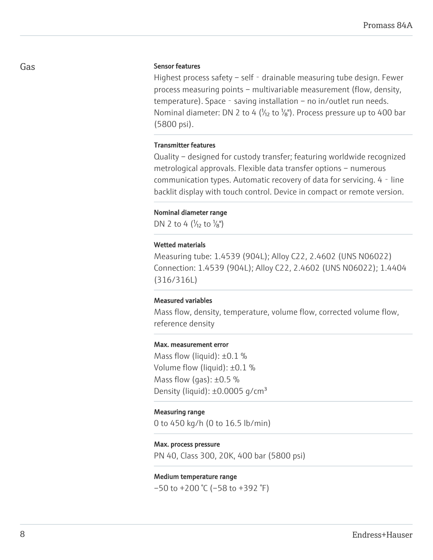#### Sensor features

Highest process safety – self - drainable measuring tube design. Fewer process measuring points – multivariable measurement (flow, density, temperature). Space - saving installation – no in/outlet run needs. Nominal diameter: DN 2 to 4 ( $\frac{1}{12}$  to  $\frac{1}{8}$ ). Process pressure up to 400 bar (5800 psi).

#### Transmitter features

Quality – designed for custody transfer; featuring worldwide recognized metrological approvals. Flexible data transfer options – numerous communication types. Automatic recovery of data for servicing. 4 - line backlit display with touch control. Device in compact or remote version.

#### Nominal diameter range

DN 2 to 4 ( $\frac{1}{2}$  to  $\frac{1}{8}$ ")

#### Wetted materials

Measuring tube: 1.4539 (904L); Alloy C22, 2.4602 (UNS N06022) Connection: 1.4539 (904L); Alloy C22, 2.4602 (UNS N06022); 1.4404 (316/316L)

#### Measured variables

Mass flow, density, temperature, volume flow, corrected volume flow, reference density

#### Max. measurement error

Mass flow (liquid):  $\pm 0.1$  % Volume flow (liquid): ±0.1 % Mass flow (gas):  $\pm 0.5$  % Density (liquid):  $\pm 0.0005$  g/cm<sup>3</sup>

#### Measuring range

0 to 450 kg/h (0 to 16.5 lb/min)

#### Max. process pressure

PN 40, Class 300, 20K, 400 bar (5800 psi)

#### Medium temperature range

 $-50$  to  $+200$  °C ( $-58$  to  $+392$  °F)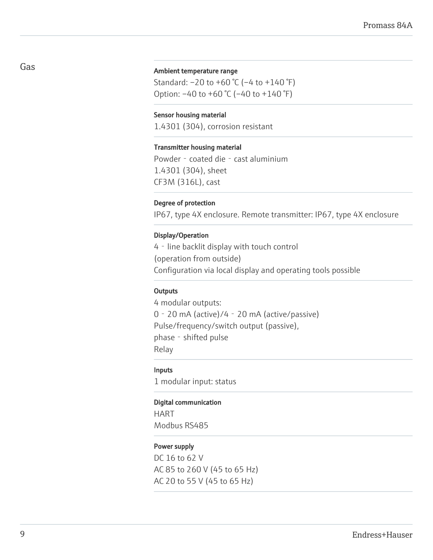#### Ambient temperature range

Standard: –20 to +60 °C (–4 to +140 °F) Option: –40 to +60 °C (–40 to +140 °F)

#### Sensor housing material

1.4301 (304), corrosion resistant

#### Transmitter housing material

Powder - coated die - cast aluminium 1.4301 (304), sheet CF3M (316L), cast

#### Degree of protection

IP67, type 4X enclosure. Remote transmitter: IP67, type 4X enclosure

#### Display/Operation

4‐line backlit display with touch control (operation from outside) Configuration via local display and operating tools possible

### **Outputs**

4 modular outputs: 0‐20 mA (active)/4‐20 mA (active/passive) Pulse/frequency/switch output (passive), phase - shifted pulse Relay

#### Inputs

1 modular input: status

#### Digital communication

HART Modbus RS485

#### Power supply

DC 16 to 62 V AC 85 to 260 V (45 to 65 Hz) AC 20 to 55 V (45 to 65 Hz)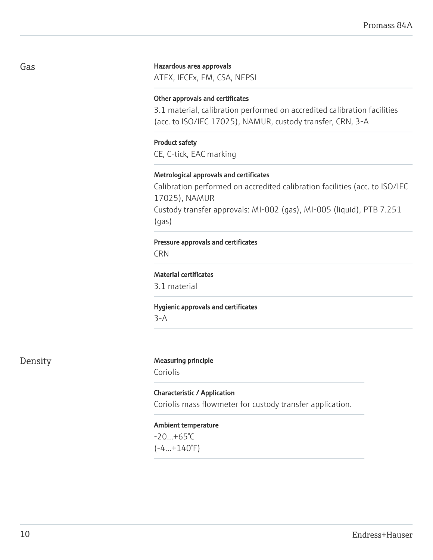#### Hazardous area approvals

ATEX, IECEx, FM, CSA, NEPSI

#### Other approvals and certificates

3.1 material, calibration performed on accredited calibration facilities (acc. to ISO/IEC 17025), NAMUR, custody transfer, CRN, 3-A

#### Product safety

CE, C-tick, EAC marking

#### Metrological approvals and certificates

Calibration performed on accredited calibration facilities (acc. to ISO/IEC 17025), NAMUR Custody transfer approvals: MI-002 (gas), MI-005 (liquid), PTB 7.251 (gas)

#### Pressure approvals and certificates

**CRN** 

#### Material certificates

3.1 material

#### Hygienic approvals and certificates

3-A

# Density Measuring principle

Coriolis

# Characteristic / Application Coriolis mass flowmeter for custody transfer application.

#### Ambient temperature

 $-20...+65^{\circ}C$  $(-4...+140°F)$